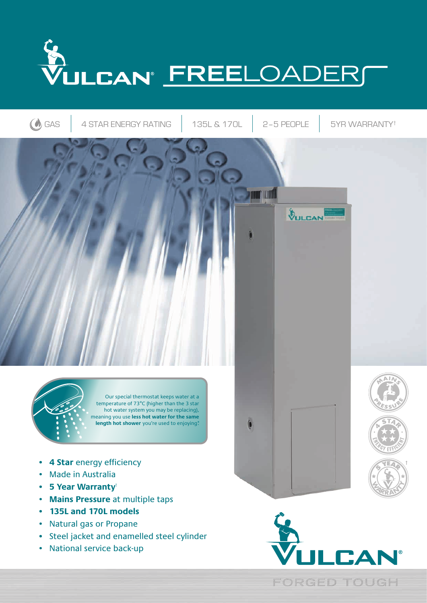



- **4 Star** energy efficiency
- Made in Australia
- **• 5 Year Warranty**†
- **Mains Pressure** at multiple taps
- **• 135L and 170L models**
- Natural gas or Propane
- **•** Steel jacket and enamelled steel cylinder
- National service back-up



**5<sup>Y</sup>EA<sup>R</sup>**

**<sup>W</sup>ARRAN<sup>T</sup> <sup>Y</sup>**

**FORGED TOUGH**